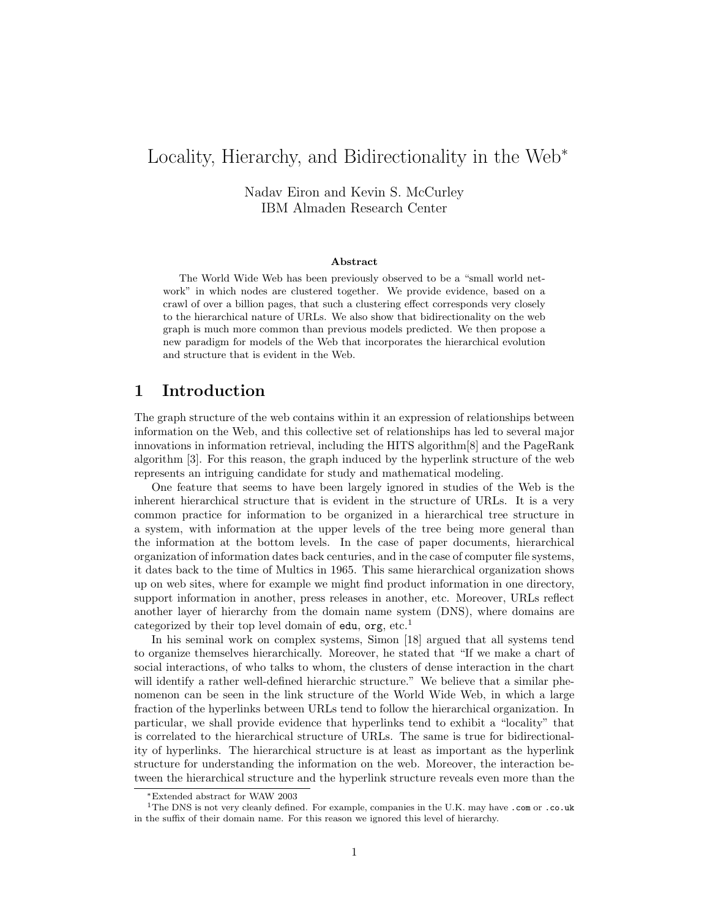# Locality, Hierarchy, and Bidirectionality in the Web<sup>∗</sup>

Nadav Eiron and Kevin S. McCurley IBM Almaden Research Center

#### Abstract

The World Wide Web has been previously observed to be a "small world network" in which nodes are clustered together. We provide evidence, based on a crawl of over a billion pages, that such a clustering effect corresponds very closely to the hierarchical nature of URLs. We also show that bidirectionality on the web graph is much more common than previous models predicted. We then propose a new paradigm for models of the Web that incorporates the hierarchical evolution and structure that is evident in the Web.

## 1 Introduction

The graph structure of the web contains within it an expression of relationships between information on the Web, and this collective set of relationships has led to several major innovations in information retrieval, including the HITS algorithm[8] and the PageRank algorithm [3]. For this reason, the graph induced by the hyperlink structure of the web represents an intriguing candidate for study and mathematical modeling.

One feature that seems to have been largely ignored in studies of the Web is the inherent hierarchical structure that is evident in the structure of URLs. It is a very common practice for information to be organized in a hierarchical tree structure in a system, with information at the upper levels of the tree being more general than the information at the bottom levels. In the case of paper documents, hierarchical organization of information dates back centuries, and in the case of computer file systems, it dates back to the time of Multics in 1965. This same hierarchical organization shows up on web sites, where for example we might find product information in one directory, support information in another, press releases in another, etc. Moreover, URLs reflect another layer of hierarchy from the domain name system (DNS), where domains are categorized by their top level domain of edu,  $org, etc.<sup>1</sup>$ 

In his seminal work on complex systems, Simon [18] argued that all systems tend to organize themselves hierarchically. Moreover, he stated that "If we make a chart of social interactions, of who talks to whom, the clusters of dense interaction in the chart will identify a rather well-defined hierarchic structure." We believe that a similar phenomenon can be seen in the link structure of the World Wide Web, in which a large fraction of the hyperlinks between URLs tend to follow the hierarchical organization. In particular, we shall provide evidence that hyperlinks tend to exhibit a "locality" that is correlated to the hierarchical structure of URLs. The same is true for bidirectionality of hyperlinks. The hierarchical structure is at least as important as the hyperlink structure for understanding the information on the web. Moreover, the interaction between the hierarchical structure and the hyperlink structure reveals even more than the

<sup>∗</sup>Extended abstract for WAW 2003

<sup>&</sup>lt;sup>1</sup>The DNS is not very cleanly defined. For example, companies in the U.K. may have .com or .co.uk in the suffix of their domain name. For this reason we ignored this level of hierarchy.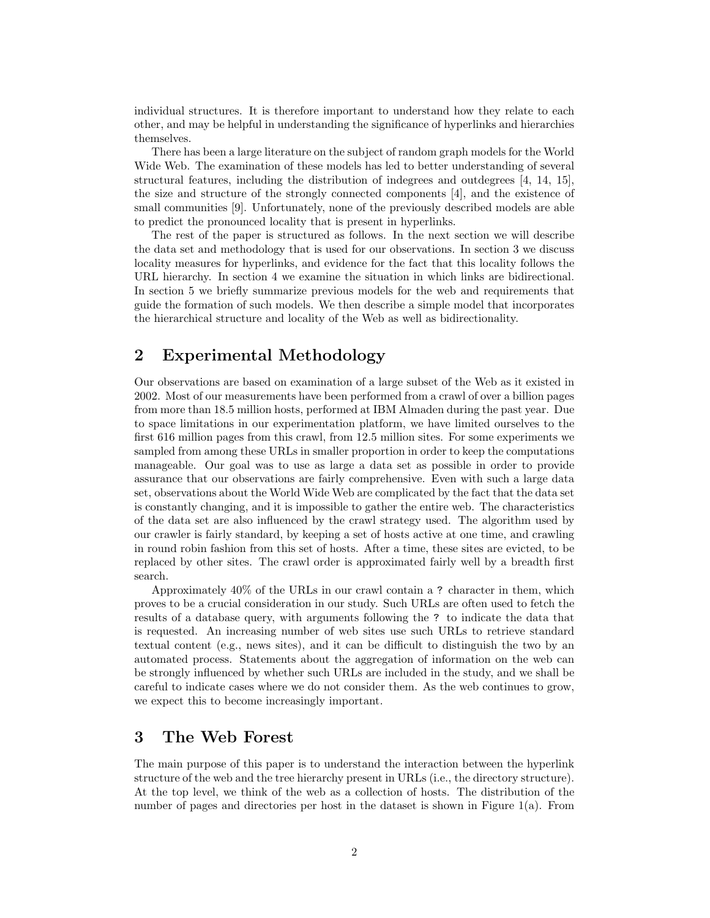individual structures. It is therefore important to understand how they relate to each other, and may be helpful in understanding the significance of hyperlinks and hierarchies themselves.

There has been a large literature on the subject of random graph models for the World Wide Web. The examination of these models has led to better understanding of several structural features, including the distribution of indegrees and outdegrees [4, 14, 15], the size and structure of the strongly connected components [4], and the existence of small communities [9]. Unfortunately, none of the previously described models are able to predict the pronounced locality that is present in hyperlinks.

The rest of the paper is structured as follows. In the next section we will describe the data set and methodology that is used for our observations. In section 3 we discuss locality measures for hyperlinks, and evidence for the fact that this locality follows the URL hierarchy. In section 4 we examine the situation in which links are bidirectional. In section 5 we briefly summarize previous models for the web and requirements that guide the formation of such models. We then describe a simple model that incorporates the hierarchical structure and locality of the Web as well as bidirectionality.

## 2 Experimental Methodology

Our observations are based on examination of a large subset of the Web as it existed in 2002. Most of our measurements have been performed from a crawl of over a billion pages from more than 18.5 million hosts, performed at IBM Almaden during the past year. Due to space limitations in our experimentation platform, we have limited ourselves to the first 616 million pages from this crawl, from 12.5 million sites. For some experiments we sampled from among these URLs in smaller proportion in order to keep the computations manageable. Our goal was to use as large a data set as possible in order to provide assurance that our observations are fairly comprehensive. Even with such a large data set, observations about the World Wide Web are complicated by the fact that the data set is constantly changing, and it is impossible to gather the entire web. The characteristics of the data set are also influenced by the crawl strategy used. The algorithm used by our crawler is fairly standard, by keeping a set of hosts active at one time, and crawling in round robin fashion from this set of hosts. After a time, these sites are evicted, to be replaced by other sites. The crawl order is approximated fairly well by a breadth first search.

Approximately 40% of the URLs in our crawl contain a ? character in them, which proves to be a crucial consideration in our study. Such URLs are often used to fetch the results of a database query, with arguments following the ? to indicate the data that is requested. An increasing number of web sites use such URLs to retrieve standard textual content (e.g., news sites), and it can be difficult to distinguish the two by an automated process. Statements about the aggregation of information on the web can be strongly influenced by whether such URLs are included in the study, and we shall be careful to indicate cases where we do not consider them. As the web continues to grow, we expect this to become increasingly important.

## 3 The Web Forest

The main purpose of this paper is to understand the interaction between the hyperlink structure of the web and the tree hierarchy present in URLs (i.e., the directory structure). At the top level, we think of the web as a collection of hosts. The distribution of the number of pages and directories per host in the dataset is shown in Figure 1(a). From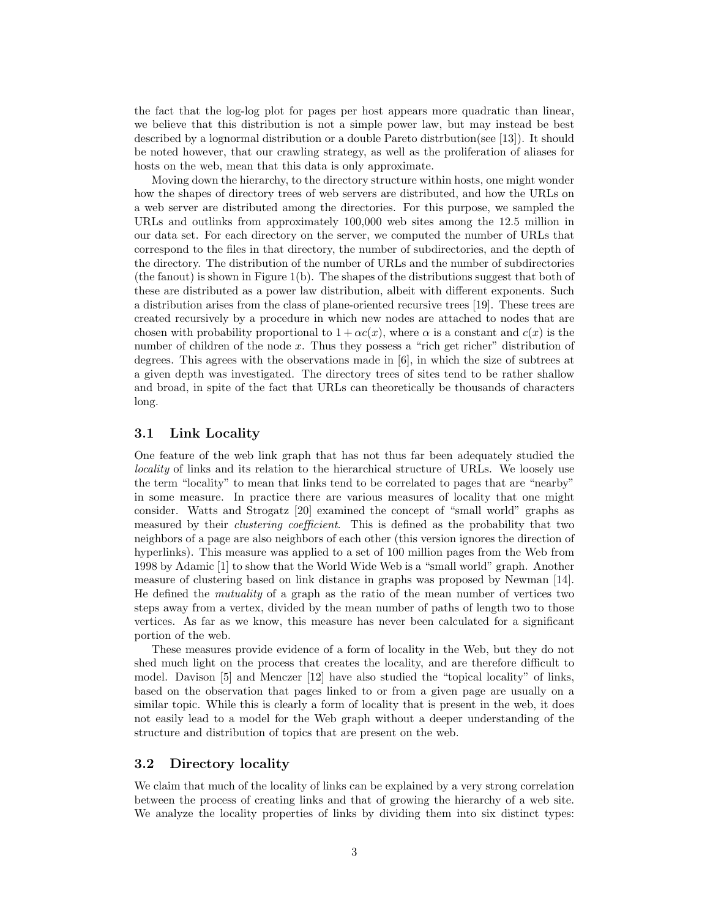the fact that the log-log plot for pages per host appears more quadratic than linear, we believe that this distribution is not a simple power law, but may instead be best described by a lognormal distribution or a double Pareto distrbution(see [13]). It should be noted however, that our crawling strategy, as well as the proliferation of aliases for hosts on the web, mean that this data is only approximate.

Moving down the hierarchy, to the directory structure within hosts, one might wonder how the shapes of directory trees of web servers are distributed, and how the URLs on a web server are distributed among the directories. For this purpose, we sampled the URLs and outlinks from approximately 100,000 web sites among the 12.5 million in our data set. For each directory on the server, we computed the number of URLs that correspond to the files in that directory, the number of subdirectories, and the depth of the directory. The distribution of the number of URLs and the number of subdirectories (the fanout) is shown in Figure 1(b). The shapes of the distributions suggest that both of these are distributed as a power law distribution, albeit with different exponents. Such a distribution arises from the class of plane-oriented recursive trees [19]. These trees are created recursively by a procedure in which new nodes are attached to nodes that are chosen with probability proportional to  $1 + \alpha c(x)$ , where  $\alpha$  is a constant and  $c(x)$  is the number of children of the node x. Thus they possess a "rich get richer" distribution of degrees. This agrees with the observations made in [6], in which the size of subtrees at a given depth was investigated. The directory trees of sites tend to be rather shallow and broad, in spite of the fact that URLs can theoretically be thousands of characters long.

#### 3.1 Link Locality

One feature of the web link graph that has not thus far been adequately studied the locality of links and its relation to the hierarchical structure of URLs. We loosely use the term "locality" to mean that links tend to be correlated to pages that are "nearby" in some measure. In practice there are various measures of locality that one might consider. Watts and Strogatz [20] examined the concept of "small world" graphs as measured by their clustering coefficient. This is defined as the probability that two neighbors of a page are also neighbors of each other (this version ignores the direction of hyperlinks). This measure was applied to a set of 100 million pages from the Web from 1998 by Adamic [1] to show that the World Wide Web is a "small world" graph. Another measure of clustering based on link distance in graphs was proposed by Newman [14]. He defined the mutuality of a graph as the ratio of the mean number of vertices two steps away from a vertex, divided by the mean number of paths of length two to those vertices. As far as we know, this measure has never been calculated for a significant portion of the web.

These measures provide evidence of a form of locality in the Web, but they do not shed much light on the process that creates the locality, and are therefore difficult to model. Davison [5] and Menczer [12] have also studied the "topical locality" of links, based on the observation that pages linked to or from a given page are usually on a similar topic. While this is clearly a form of locality that is present in the web, it does not easily lead to a model for the Web graph without a deeper understanding of the structure and distribution of topics that are present on the web.

### 3.2 Directory locality

We claim that much of the locality of links can be explained by a very strong correlation between the process of creating links and that of growing the hierarchy of a web site. We analyze the locality properties of links by dividing them into six distinct types: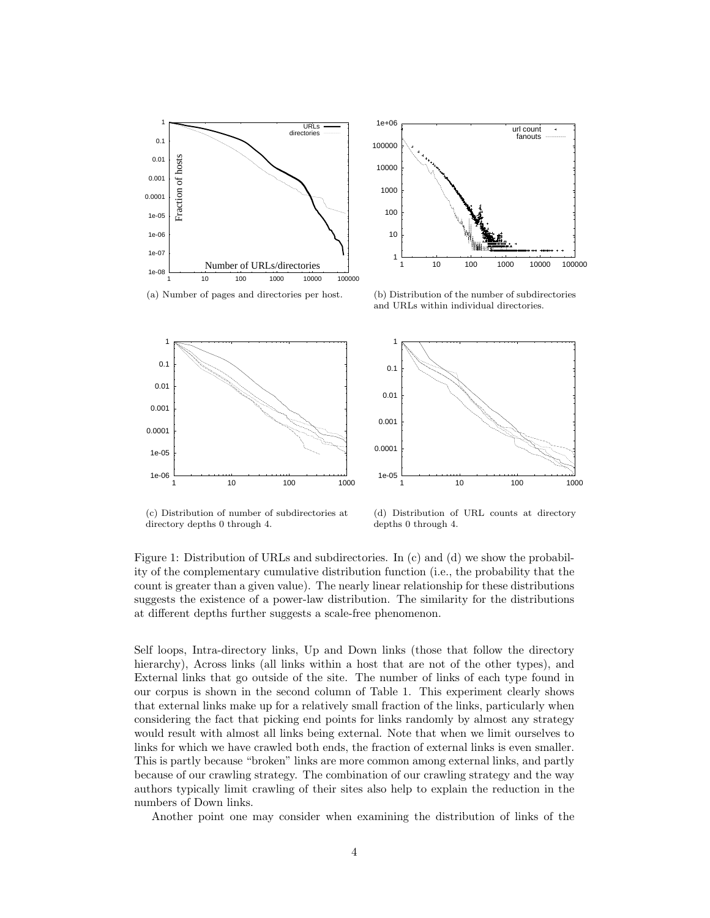

(a) Number of pages and directories per host.



(b) Distribution of the number of subdirectories and URLs within individual directories.



(c) Distribution of number of subdirectories at directory depths 0 through 4.

(d) Distribution of URL counts at directory depths 0 through 4.

Figure 1: Distribution of URLs and subdirectories. In (c) and (d) we show the probability of the complementary cumulative distribution function (i.e., the probability that the count is greater than a given value). The nearly linear relationship for these distributions suggests the existence of a power-law distribution. The similarity for the distributions at different depths further suggests a scale-free phenomenon.

Self loops, Intra-directory links, Up and Down links (those that follow the directory hierarchy), Across links (all links within a host that are not of the other types), and External links that go outside of the site. The number of links of each type found in our corpus is shown in the second column of Table 1. This experiment clearly shows that external links make up for a relatively small fraction of the links, particularly when considering the fact that picking end points for links randomly by almost any strategy would result with almost all links being external. Note that when we limit ourselves to links for which we have crawled both ends, the fraction of external links is even smaller. This is partly because "broken" links are more common among external links, and partly because of our crawling strategy. The combination of our crawling strategy and the way authors typically limit crawling of their sites also help to explain the reduction in the numbers of Down links.

Another point one may consider when examining the distribution of links of the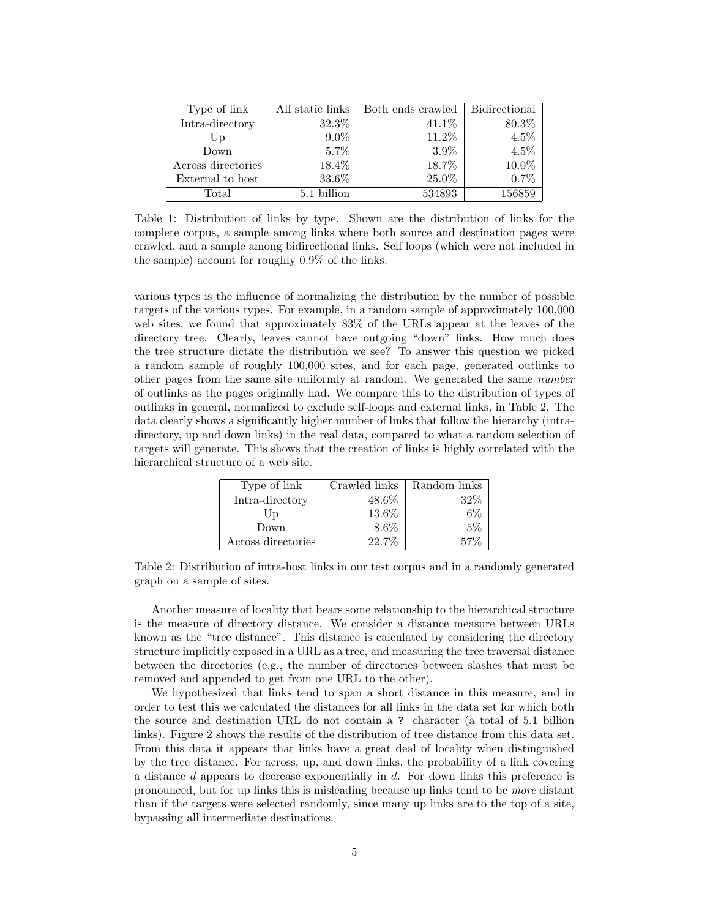| Type of link       | All static links | Both ends crawled | <b>Bidirectional</b> |
|--------------------|------------------|-------------------|----------------------|
| Intra-directory    | 32.3%            | 41.1\%            | 80.3\%               |
| Up                 | $9.0\%$          | 11.2%             | $4.5\%$              |
| Down               | 5.7%             | $3.9\%$           | 4.5%                 |
| Across directories | 18.4%            | 18.7%             | 10.0%                |
| External to host   | 33.6%            | 25.0%             | 0.7%                 |
| Total              | 5.1 billion      | 534893            | 156859               |

Table 1: Distribution of links by type. Shown are the distribution of links for the complete corpus, a sample among links where both source and destination pages were crawled, and a sample among bidirectional links. Self loops (which were not included in the sample) account for roughly 0.9% of the links.

various types is the influence of normalizing the distribution by the number of possible targets of the various types. For example, in a random sample of approximately 100,000 web sites, we found that approximately 83% of the URLs appear at the leaves of the directory tree. Clearly, leaves cannot have outgoing "down" links. How much does the tree structure dictate the distribution we see? To answer this question we picked a random sample of roughly 100,000 sites, and for each page, generated outlinks to other pages from the same site uniformly at random. We generated the same number of outlinks as the pages originally had. We compare this to the distribution of types of outlinks in general, normalized to exclude self-loops and external links, in Table 2. The data clearly shows a significantly higher number of links that follow the hierarchy (intradirectory, up and down links) in the real data, compared to what a random selection of targets will generate. This shows that the creation of links is highly correlated with the hierarchical structure of a web site.

| Type of link       | Crawled links | Random links |
|--------------------|---------------|--------------|
| Intra-directory    | $48.6\%$      | 32%          |
| Up                 | 13.6%         | 6%           |
| Down               | $8.6\%$       | 5%           |
| Across directories | $22.7\%$      | 57%          |

Table 2: Distribution of intra-host links in our test corpus and in a randomly generated graph on a sample of sites.

Another measure of locality that bears some relationship to the hierarchical structure is the measure of directory distance. We consider a distance measure between URLs known as the "tree distance". This distance is calculated by considering the directory structure implicitly exposed in a URL as a tree, and measuring the tree traversal distance between the directories (e.g., the number of directories between slashes that must be removed and appended to get from one URL to the other).

We hypothesized that links tend to span a short distance in this measure, and in order to test this we calculated the distances for all links in the data set for which both the source and destination URL do not contain a ? character (a total of 5.1 billion links). Figure 2 shows the results of the distribution of tree distance from this data set. From this data it appears that links have a great deal of locality when distinguished by the tree distance. For across, up, and down links, the probability of a link covering a distance d appears to decrease exponentially in d. For down links this preference is pronounced, but for up links this is misleading because up links tend to be more distant than if the targets were selected randomly, since many up links are to the top of a site, bypassing all intermediate destinations.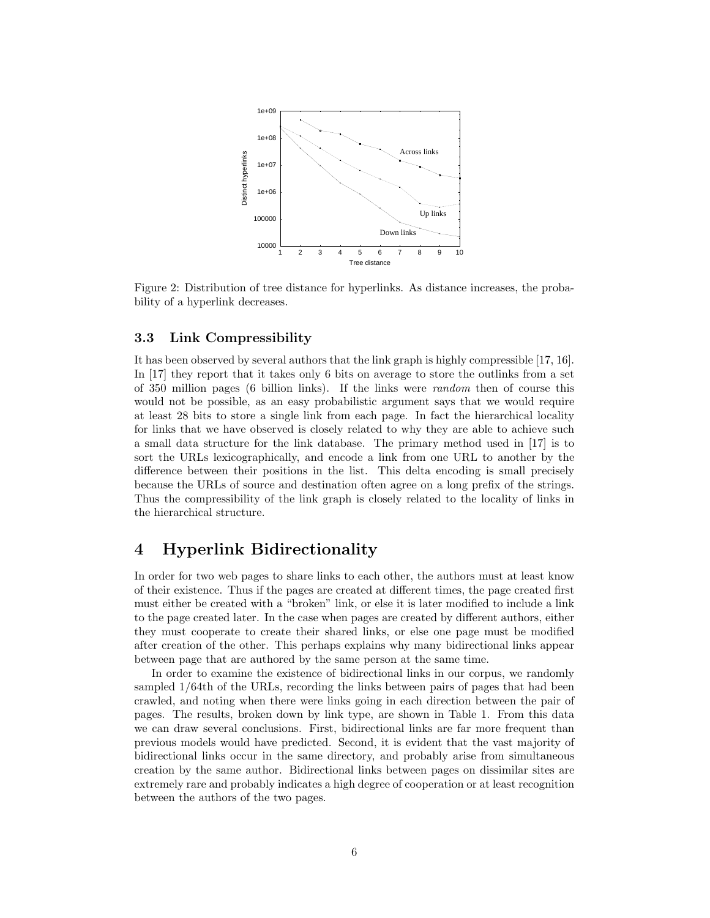

Figure 2: Distribution of tree distance for hyperlinks. As distance increases, the probability of a hyperlink decreases.

#### 3.3 Link Compressibility

It has been observed by several authors that the link graph is highly compressible [17, 16]. In [17] they report that it takes only 6 bits on average to store the outlinks from a set of 350 million pages (6 billion links). If the links were random then of course this would not be possible, as an easy probabilistic argument says that we would require at least 28 bits to store a single link from each page. In fact the hierarchical locality for links that we have observed is closely related to why they are able to achieve such a small data structure for the link database. The primary method used in [17] is to sort the URLs lexicographically, and encode a link from one URL to another by the difference between their positions in the list. This delta encoding is small precisely because the URLs of source and destination often agree on a long prefix of the strings. Thus the compressibility of the link graph is closely related to the locality of links in the hierarchical structure.

## 4 Hyperlink Bidirectionality

In order for two web pages to share links to each other, the authors must at least know of their existence. Thus if the pages are created at different times, the page created first must either be created with a "broken" link, or else it is later modified to include a link to the page created later. In the case when pages are created by different authors, either they must cooperate to create their shared links, or else one page must be modified after creation of the other. This perhaps explains why many bidirectional links appear between page that are authored by the same person at the same time.

In order to examine the existence of bidirectional links in our corpus, we randomly sampled 1/64th of the URLs, recording the links between pairs of pages that had been crawled, and noting when there were links going in each direction between the pair of pages. The results, broken down by link type, are shown in Table 1. From this data we can draw several conclusions. First, bidirectional links are far more frequent than previous models would have predicted. Second, it is evident that the vast majority of bidirectional links occur in the same directory, and probably arise from simultaneous creation by the same author. Bidirectional links between pages on dissimilar sites are extremely rare and probably indicates a high degree of cooperation or at least recognition between the authors of the two pages.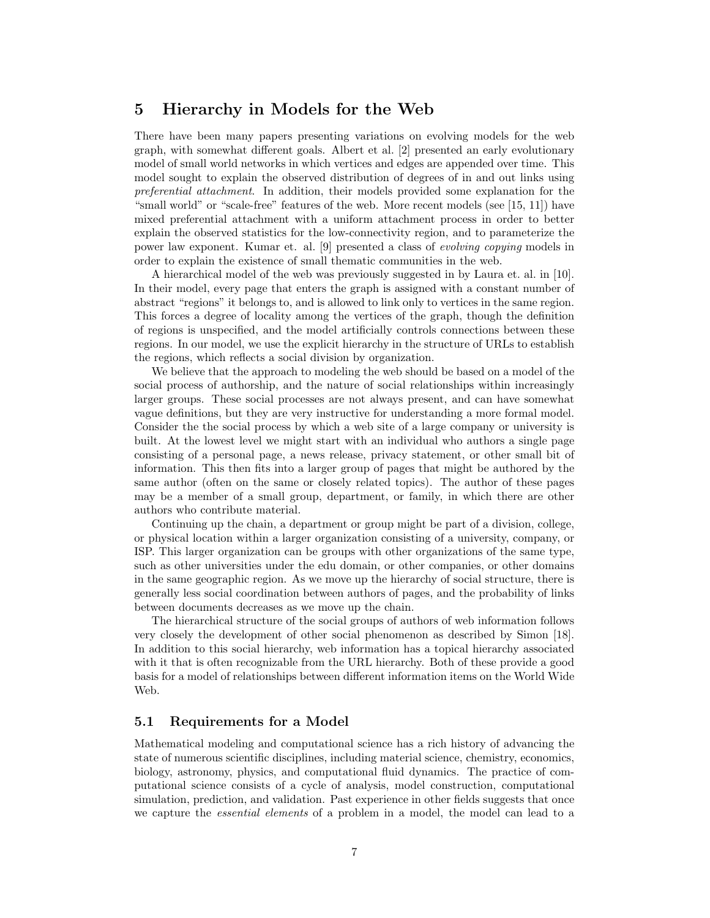## 5 Hierarchy in Models for the Web

There have been many papers presenting variations on evolving models for the web graph, with somewhat different goals. Albert et al. [2] presented an early evolutionary model of small world networks in which vertices and edges are appended over time. This model sought to explain the observed distribution of degrees of in and out links using preferential attachment. In addition, their models provided some explanation for the "small world" or "scale-free" features of the web. More recent models (see [15, 11]) have mixed preferential attachment with a uniform attachment process in order to better explain the observed statistics for the low-connectivity region, and to parameterize the power law exponent. Kumar et. al. [9] presented a class of evolving copying models in order to explain the existence of small thematic communities in the web.

A hierarchical model of the web was previously suggested in by Laura et. al. in [10]. In their model, every page that enters the graph is assigned with a constant number of abstract "regions" it belongs to, and is allowed to link only to vertices in the same region. This forces a degree of locality among the vertices of the graph, though the definition of regions is unspecified, and the model artificially controls connections between these regions. In our model, we use the explicit hierarchy in the structure of URLs to establish the regions, which reflects a social division by organization.

We believe that the approach to modeling the web should be based on a model of the social process of authorship, and the nature of social relationships within increasingly larger groups. These social processes are not always present, and can have somewhat vague definitions, but they are very instructive for understanding a more formal model. Consider the the social process by which a web site of a large company or university is built. At the lowest level we might start with an individual who authors a single page consisting of a personal page, a news release, privacy statement, or other small bit of information. This then fits into a larger group of pages that might be authored by the same author (often on the same or closely related topics). The author of these pages may be a member of a small group, department, or family, in which there are other authors who contribute material.

Continuing up the chain, a department or group might be part of a division, college, or physical location within a larger organization consisting of a university, company, or ISP. This larger organization can be groups with other organizations of the same type, such as other universities under the edu domain, or other companies, or other domains in the same geographic region. As we move up the hierarchy of social structure, there is generally less social coordination between authors of pages, and the probability of links between documents decreases as we move up the chain.

The hierarchical structure of the social groups of authors of web information follows very closely the development of other social phenomenon as described by Simon [18]. In addition to this social hierarchy, web information has a topical hierarchy associated with it that is often recognizable from the URL hierarchy. Both of these provide a good basis for a model of relationships between different information items on the World Wide Web.

#### 5.1 Requirements for a Model

Mathematical modeling and computational science has a rich history of advancing the state of numerous scientific disciplines, including material science, chemistry, economics, biology, astronomy, physics, and computational fluid dynamics. The practice of computational science consists of a cycle of analysis, model construction, computational simulation, prediction, and validation. Past experience in other fields suggests that once we capture the *essential elements* of a problem in a model, the model can lead to a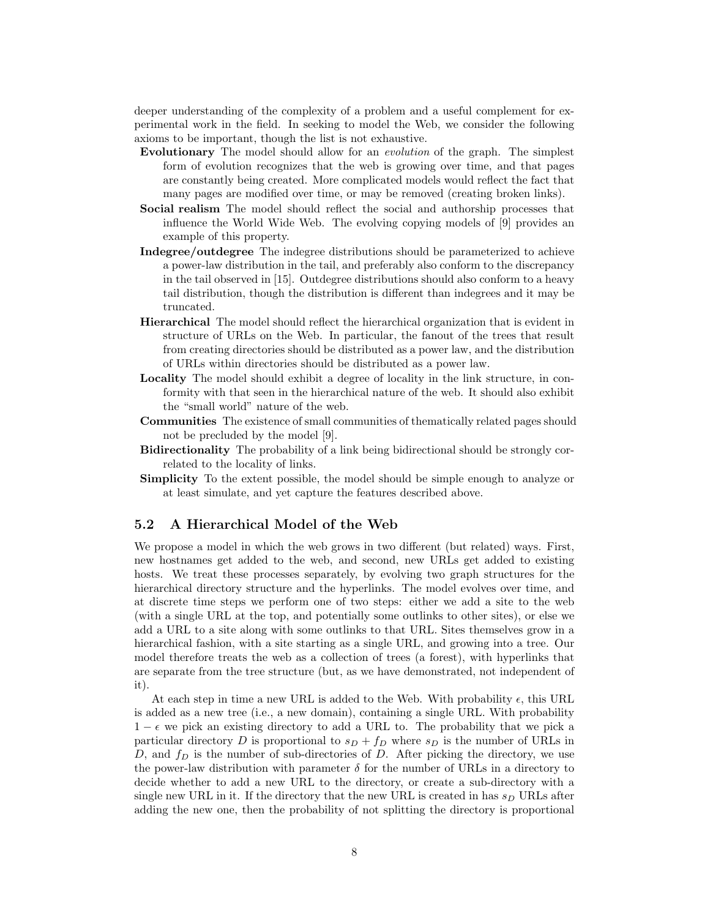deeper understanding of the complexity of a problem and a useful complement for experimental work in the field. In seeking to model the Web, we consider the following axioms to be important, though the list is not exhaustive.

- Evolutionary The model should allow for an evolution of the graph. The simplest form of evolution recognizes that the web is growing over time, and that pages are constantly being created. More complicated models would reflect the fact that many pages are modified over time, or may be removed (creating broken links).
- Social realism The model should reflect the social and authorship processes that influence the World Wide Web. The evolving copying models of [9] provides an example of this property.
- Indegree/outdegree The indegree distributions should be parameterized to achieve a power-law distribution in the tail, and preferably also conform to the discrepancy in the tail observed in [15]. Outdegree distributions should also conform to a heavy tail distribution, though the distribution is different than indegrees and it may be truncated.
- Hierarchical The model should reflect the hierarchical organization that is evident in structure of URLs on the Web. In particular, the fanout of the trees that result from creating directories should be distributed as a power law, and the distribution of URLs within directories should be distributed as a power law.
- Locality The model should exhibit a degree of locality in the link structure, in conformity with that seen in the hierarchical nature of the web. It should also exhibit the "small world" nature of the web.
- Communities The existence of small communities of thematically related pages should not be precluded by the model [9].
- Bidirectionality The probability of a link being bidirectional should be strongly correlated to the locality of links.
- Simplicity To the extent possible, the model should be simple enough to analyze or at least simulate, and yet capture the features described above.

#### 5.2 A Hierarchical Model of the Web

We propose a model in which the web grows in two different (but related) ways. First, new hostnames get added to the web, and second, new URLs get added to existing hosts. We treat these processes separately, by evolving two graph structures for the hierarchical directory structure and the hyperlinks. The model evolves over time, and at discrete time steps we perform one of two steps: either we add a site to the web (with a single URL at the top, and potentially some outlinks to other sites), or else we add a URL to a site along with some outlinks to that URL. Sites themselves grow in a hierarchical fashion, with a site starting as a single URL, and growing into a tree. Our model therefore treats the web as a collection of trees (a forest), with hyperlinks that are separate from the tree structure (but, as we have demonstrated, not independent of it).

At each step in time a new URL is added to the Web. With probability  $\epsilon$ , this URL is added as a new tree (i.e., a new domain), containing a single URL. With probability  $1 - \epsilon$  we pick an existing directory to add a URL to. The probability that we pick a particular directory D is proportional to  $s<sub>D</sub> + f<sub>D</sub>$  where  $s<sub>D</sub>$  is the number of URLs in D, and  $f_D$  is the number of sub-directories of D. After picking the directory, we use the power-law distribution with parameter  $\delta$  for the number of URLs in a directory to decide whether to add a new URL to the directory, or create a sub-directory with a single new URL in it. If the directory that the new URL is created in has  $s_D$  URLs after adding the new one, then the probability of not splitting the directory is proportional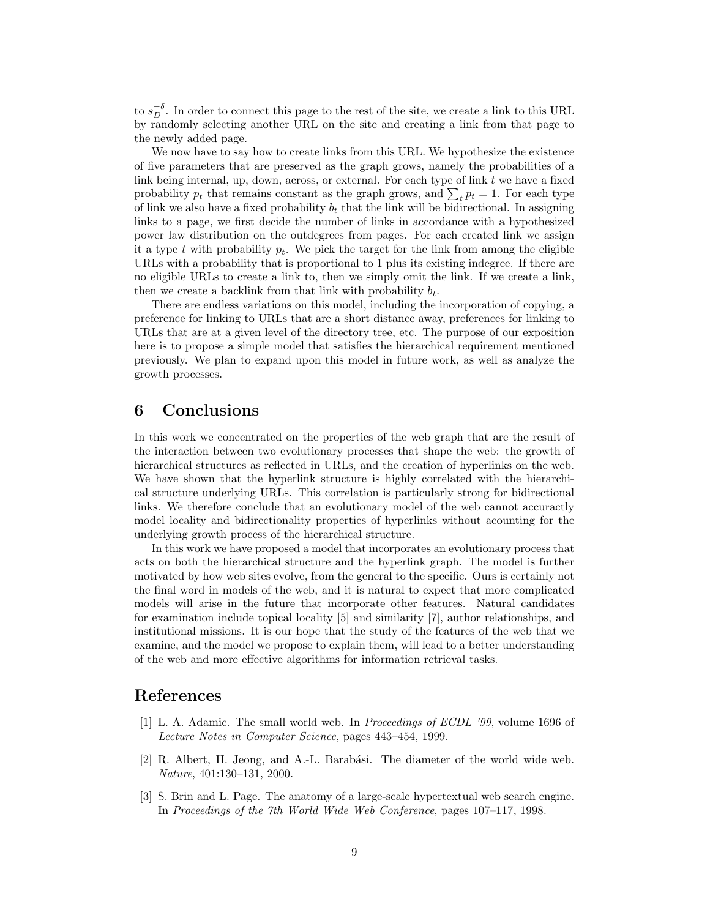to  $s_D^{-\delta}$ . In order to connect this page to the rest of the site, we create a link to this URL by randomly selecting another URL on the site and creating a link from that page to the newly added page.

We now have to say how to create links from this URL. We hypothesize the existence of five parameters that are preserved as the graph grows, namely the probabilities of a link being internal, up, down, across, or external. For each type of link  $t$  we have a fixed link being internal, up, down, across, or external. For each type of link t we have a lixed<br>probability  $p_t$  that remains constant as the graph grows, and  $\sum_t p_t = 1$ . For each type of link we also have a fixed probability  $b_t$  that the link will be bidirectional. In assigning links to a page, we first decide the number of links in accordance with a hypothesized power law distribution on the outdegrees from pages. For each created link we assign it a type t with probability  $p_t$ . We pick the target for the link from among the eligible URLs with a probability that is proportional to 1 plus its existing indegree. If there are no eligible URLs to create a link to, then we simply omit the link. If we create a link, then we create a backlink from that link with probability  $b_t$ .

There are endless variations on this model, including the incorporation of copying, a preference for linking to URLs that are a short distance away, preferences for linking to URLs that are at a given level of the directory tree, etc. The purpose of our exposition here is to propose a simple model that satisfies the hierarchical requirement mentioned previously. We plan to expand upon this model in future work, as well as analyze the growth processes.

## 6 Conclusions

In this work we concentrated on the properties of the web graph that are the result of the interaction between two evolutionary processes that shape the web: the growth of hierarchical structures as reflected in URLs, and the creation of hyperlinks on the web. We have shown that the hyperlink structure is highly correlated with the hierarchical structure underlying URLs. This correlation is particularly strong for bidirectional links. We therefore conclude that an evolutionary model of the web cannot accuractly model locality and bidirectionality properties of hyperlinks without acounting for the underlying growth process of the hierarchical structure.

In this work we have proposed a model that incorporates an evolutionary process that acts on both the hierarchical structure and the hyperlink graph. The model is further motivated by how web sites evolve, from the general to the specific. Ours is certainly not the final word in models of the web, and it is natural to expect that more complicated models will arise in the future that incorporate other features. Natural candidates for examination include topical locality [5] and similarity [7], author relationships, and institutional missions. It is our hope that the study of the features of the web that we examine, and the model we propose to explain them, will lead to a better understanding of the web and more effective algorithms for information retrieval tasks.

### References

- [1] L. A. Adamic. The small world web. In Proceedings of ECDL '99, volume 1696 of Lecture Notes in Computer Science, pages 443–454, 1999.
- [2] R. Albert, H. Jeong, and A.-L. Barabási. The diameter of the world wide web. Nature, 401:130–131, 2000.
- [3] S. Brin and L. Page. The anatomy of a large-scale hypertextual web search engine. In Proceedings of the 7th World Wide Web Conference, pages 107–117, 1998.